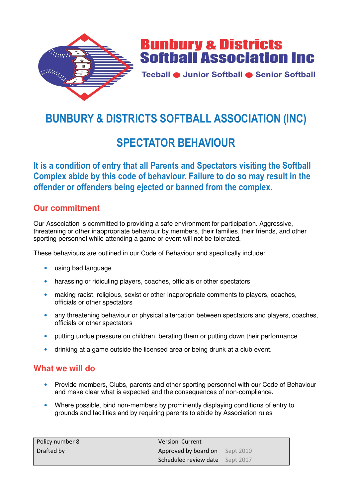



Teeball · Junior Softball · Senior Softball

# **BUNBURY & DISTRICTS SOFTBALL ASSOCIATION (INC)**

## **SPECTATOR BEHAVIOUR**

**It is a condition of entry that all Parents and Spectators visiting the Softball Complex abide by this code of behaviour. Failure to do so may result in the offender or offenders being ejected or banned from the complex.** 

## **Our commitment**

Our Association is committed to providing a safe environment for participation. Aggressive, threatening or other inappropriate behaviour by members, their families, their friends, and other sporting personnel while attending a game or event will not be tolerated.

These behaviours are outlined in our Code of Behaviour and specifically include:

- using bad language
- harassing or ridiculing players, coaches, officials or other spectators
- making racist, religious, sexist or other inappropriate comments to players, coaches, officials or other spectators
- any threatening behaviour or physical altercation between spectators and players, coaches, officials or other spectators
- putting undue pressure on children, berating them or putting down their performance
- drinking at a game outside the licensed area or being drunk at a club event.

#### **What we will do**

- Provide members, Clubs, parents and other sporting personnel with our Code of Behaviour and make clear what is expected and the consequences of non-compliance.
- Where possible, bind non-members by prominently displaying conditions of entry to grounds and facilities and by requiring parents to abide by Association rules

| Policy number 8 | <b>Version Current</b>          |  |
|-----------------|---------------------------------|--|
| Drafted by      | Approved by board on Sept 2010  |  |
|                 | Scheduled review date Sept 2017 |  |